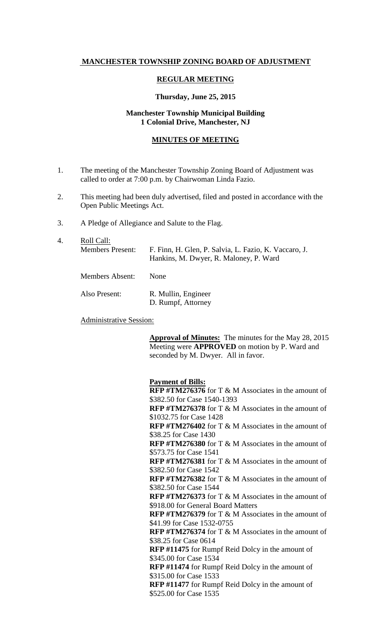# **MANCHESTER TOWNSHIP ZONING BOARD OF ADJUSTMENT**

### **REGULAR MEETING**

### **Thursday, June 25, 2015**

## **Manchester Township Municipal Building 1 Colonial Drive, Manchester, NJ**

### **MINUTES OF MEETING**

- 1. The meeting of the Manchester Township Zoning Board of Adjustment was called to order at 7:00 p.m. by Chairwoman Linda Fazio.
- 2. This meeting had been duly advertised, filed and posted in accordance with the Open Public Meetings Act.
- 3. A Pledge of Allegiance and Salute to the Flag.
- 4. <u>Roll Call:</u><br>Members Present: F. Finn, H. Glen, P. Salvia, L. Fazio, K. Vaccaro, J. Hankins, M. Dwyer, R. Maloney, P. Ward Members Absent: None Also Present: R. Mullin, Engineer D. Rumpf, Attorney

Administrative Session:

**Approval of Minutes:** The minutes for the May 28, 2015 Meeting were **APPROVED** on motion by P. Ward and seconded by M. Dwyer. All in favor.

**Payment of Bills:**

**RFP #TM276376** for T & M Associates in the amount of \$382.50 for Case 1540-1393 **RFP #TM276378** for T & M Associates in the amount of \$1032.75 for Case 1428 **RFP #TM276402** for T & M Associates in the amount of \$38.25 for Case 1430 **RFP #TM276380** for T & M Associates in the amount of \$573.75 for Case 1541 **RFP #TM276381** for T & M Associates in the amount of \$382.50 for Case 1542 **RFP #TM276382** for T & M Associates in the amount of \$382.50 for Case 1544 **RFP #TM276373** for T & M Associates in the amount of \$918.00 for General Board Matters **RFP #TM276379** for T & M Associates in the amount of \$41.99 for Case 1532-0755 **RFP #TM276374** for T & M Associates in the amount of \$38.25 for Case 0614 **RFP #11475** for Rumpf Reid Dolcy in the amount of \$345.00 for Case 1534 **RFP #11474** for Rumpf Reid Dolcy in the amount of \$315.00 for Case 1533 **RFP #11477** for Rumpf Reid Dolcy in the amount of \$525.00 for Case 1535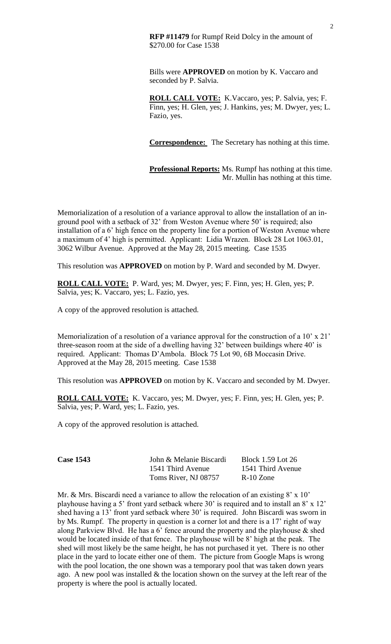**RFP #11479** for Rumpf Reid Dolcy in the amount of \$270.00 for Case 1538

Bills were **APPROVED** on motion by K. Vaccaro and seconded by P. Salvia.

**ROLL CALL VOTE:** K.Vaccaro, yes; P. Salvia, yes; F. Finn, yes; H. Glen, yes; J. Hankins, yes; M. Dwyer, yes; L. Fazio, yes.

**Correspondence:** The Secretary has nothing at this time.

**Professional Reports:** Ms. Rumpf has nothing at this time. Mr. Mullin has nothing at this time.

Memorialization of a resolution of a variance approval to allow the installation of an inground pool with a setback of 32' from Weston Avenue where 50' is required; also installation of a 6' high fence on the property line for a portion of Weston Avenue where a maximum of 4' high is permitted. Applicant: Lidia Wrazen. Block 28 Lot 1063.01, 3062 Wilbur Avenue. Approved at the May 28, 2015 meeting. Case 1535

This resolution was **APPROVED** on motion by P. Ward and seconded by M. Dwyer.

**ROLL CALL VOTE:** P. Ward, yes; M. Dwyer, yes; F. Finn, yes; H. Glen, yes; P. Salvia, yes; K. Vaccaro, yes; L. Fazio, yes.

A copy of the approved resolution is attached.

Memorialization of a resolution of a variance approval for the construction of a 10' x 21' three-season room at the side of a dwelling having 32' between buildings where 40' is required. Applicant: Thomas D'Ambola. Block 75 Lot 90, 6B Moccasin Drive. Approved at the May 28, 2015 meeting. Case 1538

This resolution was **APPROVED** on motion by K. Vaccaro and seconded by M. Dwyer.

**ROLL CALL VOTE:** K. Vaccaro, yes; M. Dwyer, yes; F. Finn, yes; H. Glen, yes; P. Salvia, yes; P. Ward, yes; L. Fazio, yes.

A copy of the approved resolution is attached.

| <b>Case 1543</b> | John & Melanie Biscardi | Block 1.59 Lot 26 |
|------------------|-------------------------|-------------------|
|                  | 1541 Third Avenue       | 1541 Third Avenue |
|                  | Toms River, NJ 08757    | R-10 Zone         |

Mr. & Mrs. Biscardi need a variance to allow the relocation of an existing  $8' \times 10'$ playhouse having a 5' front yard setback where 30' is required and to install an 8' x 12' shed having a 13' front yard setback where 30' is required. John Biscardi was sworn in by Ms. Rumpf. The property in question is a corner lot and there is a 17' right of way along Parkview Blvd. He has a 6' fence around the property and the playhouse  $\&$  shed would be located inside of that fence. The playhouse will be 8' high at the peak. The shed will most likely be the same height, he has not purchased it yet. There is no other place in the yard to locate either one of them. The picture from Google Maps is wrong with the pool location, the one shown was a temporary pool that was taken down years ago. A new pool was installed  $\&$  the location shown on the survey at the left rear of the property is where the pool is actually located.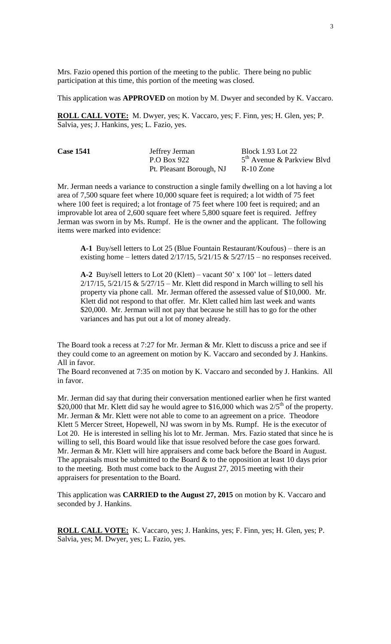Mrs. Fazio opened this portion of the meeting to the public. There being no public participation at this time, this portion of the meeting was closed.

This application was **APPROVED** on motion by M. Dwyer and seconded by K. Vaccaro.

**ROLL CALL VOTE:** M. Dwyer, yes; K. Vaccaro, yes; F. Finn, yes; H. Glen, yes; P. Salvia, yes; J. Hankins, yes; L. Fazio, yes.

| <b>Case 1541</b> | Jeffrey Jerman<br>P.O Box 922 | <b>Block 1.93 Lot 22</b><br>$5th$ Avenue & Parkview Blvd |
|------------------|-------------------------------|----------------------------------------------------------|
|                  | Pt. Pleasant Borough, NJ      | $R-10$ Zone                                              |

Mr. Jerman needs a variance to construction a single family dwelling on a lot having a lot area of 7,500 square feet where 10,000 square feet is required; a lot width of 75 feet where 100 feet is required; a lot frontage of 75 feet where 100 feet is required; and an improvable lot area of 2,600 square feet where 5,800 square feet is required. Jeffrey Jerman was sworn in by Ms. Rumpf. He is the owner and the applicant. The following items were marked into evidence:

**A-1** Buy/sell letters to Lot 25 (Blue Fountain Restaurant/Koufous) – there is an existing home – letters dated  $2/17/15$ ,  $5/21/15 \& 5/27/15$  – no responses received.

**A-2** Buy/sell letters to Lot 20 (Klett) – vacant 50' x 100' lot – letters dated  $2/17/15$ ,  $5/21/15 \& 5/27/15 - Mr$ . Klett did respond in March willing to sell his property via phone call. Mr. Jerman offered the assessed value of \$10,000. Mr. Klett did not respond to that offer. Mr. Klett called him last week and wants \$20,000. Mr. Jerman will not pay that because he still has to go for the other variances and has put out a lot of money already.

The Board took a recess at 7:27 for Mr. Jerman & Mr. Klett to discuss a price and see if they could come to an agreement on motion by K. Vaccaro and seconded by J. Hankins. All in favor.

The Board reconvened at 7:35 on motion by K. Vaccaro and seconded by J. Hankins. All in favor.

Mr. Jerman did say that during their conversation mentioned earlier when he first wanted \$20,000 that Mr. Klett did say he would agree to \$16,000 which was  $2/5<sup>th</sup>$  of the property. Mr. Jerman & Mr. Klett were not able to come to an agreement on a price. Theodore Klett 5 Mercer Street, Hopewell, NJ was sworn in by Ms. Rumpf. He is the executor of Lot 20. He is interested in selling his lot to Mr. Jerman. Mrs. Fazio stated that since he is willing to sell, this Board would like that issue resolved before the case goes forward. Mr. Jerman & Mr. Klett will hire appraisers and come back before the Board in August. The appraisals must be submitted to the Board  $\&$  to the opposition at least 10 days prior to the meeting. Both must come back to the August 27, 2015 meeting with their appraisers for presentation to the Board.

This application was **CARRIED to the August 27, 2015** on motion by K. Vaccaro and seconded by J. Hankins.

**ROLL CALL VOTE:** K. Vaccaro, yes; J. Hankins, yes; F. Finn, yes; H. Glen, yes; P. Salvia, yes; M. Dwyer, yes; L. Fazio, yes.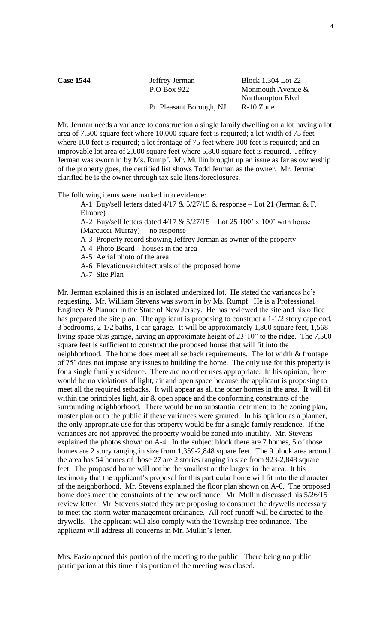| <b>Case 1544</b> | Jeffrey Jerman<br>P.O Box 922 | Block 1.304 Lot 22<br>Monmouth Avenue $&$ |
|------------------|-------------------------------|-------------------------------------------|
|                  | Pt. Pleasant Borough, NJ      | Northampton Blvd<br>$R-10$ Zone           |

Mr. Jerman needs a variance to construction a single family dwelling on a lot having a lot area of 7,500 square feet where 10,000 square feet is required; a lot width of 75 feet where 100 feet is required; a lot frontage of 75 feet where 100 feet is required; and an improvable lot area of 2,600 square feet where 5,800 square feet is required. Jeffrey Jerman was sworn in by Ms. Rumpf. Mr. Mullin brought up an issue as far as ownership of the property goes, the certified list shows Todd Jerman as the owner. Mr. Jerman clarified he is the owner through tax sale liens/foreclosures.

The following items were marked into evidence:

A-1 Buy/sell letters dated  $4/17 \& 5/27/15 \&$  response – Lot 21 (Jerman & F. Elmore)

A-2 Buy/sell letters dated  $4/17 \& 5/27/15 -$ Lot 25 100' x 100' with house (Marcucci-Murray) – no response

A-3 Property record showing Jeffrey Jerman as owner of the property

A-4 Photo Board – houses in the area

A-5 Aerial photo of the area

A-6 Elevations/architecturals of the proposed home

A-7 Site Plan

Mr. Jerman explained this is an isolated undersized lot. He stated the variances he's requesting. Mr. William Stevens was sworn in by Ms. Rumpf. He is a Professional Engineer & Planner in the State of New Jersey. He has reviewed the site and his office has prepared the site plan. The applicant is proposing to construct a 1-1/2 story cape cod, 3 bedrooms, 2-1/2 baths, 1 car garage. It will be approximately 1,800 square feet, 1,568 living space plus garage, having an approximate height of 23'10" to the ridge. The 7,500 square feet is sufficient to construct the proposed house that will fit into the neighborhood. The home does meet all setback requirements. The lot width  $&$  frontage of 75' does not impose any issues to building the home. The only use for this property is for a single family residence. There are no other uses appropriate. In his opinion, there would be no violations of light, air and open space because the applicant is proposing to meet all the required setbacks. It will appear as all the other homes in the area. It will fit within the principles light, air & open space and the conforming constraints of the surrounding neighborhood. There would be no substantial detriment to the zoning plan, master plan or to the public if these variances were granted. In his opinion as a planner, the only appropriate use for this property would be for a single family residence. If the variances are not approved the property would be zoned into inutility. Mr. Stevens explained the photos shown on A-4. In the subject block there are 7 homes, 5 of those homes are 2 story ranging in size from 1,359-2,848 square feet. The 9 block area around the area has 54 homes of those 27 are 2 stories ranging in size from 923-2,848 square feet. The proposed home will not be the smallest or the largest in the area. It his testimony that the applicant's proposal for this particular home will fit into the character of the neighborhood. Mr. Stevens explained the floor plan shown on A-6. The proposed home does meet the constraints of the new ordinance. Mr. Mullin discussed his 5/26/15 review letter. Mr. Stevens stated they are proposing to construct the drywells necessary to meet the storm water management ordinance. All roof runoff will be directed to the drywells. The applicant will also comply with the Township tree ordinance. The applicant will address all concerns in Mr. Mullin's letter.

Mrs. Fazio opened this portion of the meeting to the public. There being no public participation at this time, this portion of the meeting was closed.